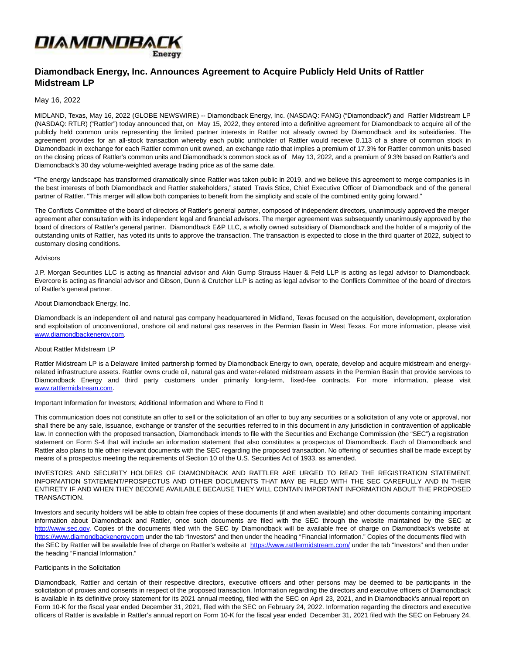

**Diamondback Energy, Inc. Announces Agreement to Acquire Publicly Held Units of Rattler Midstream LP**

# May 16, 2022

MIDLAND, Texas, May 16, 2022 (GLOBE NEWSWIRE) -- Diamondback Energy, Inc. (NASDAQ: FANG) ("Diamondback") and Rattler Midstream LP (NASDAQ: RTLR) ("Rattler") today announced that, on May 15, 2022, they entered into a definitive agreement for Diamondback to acquire all of the publicly held common units representing the limited partner interests in Rattler not already owned by Diamondback and its subsidiaries. The agreement provides for an all-stock transaction whereby each public unitholder of Rattler would receive 0.113 of a share of common stock in Diamondback in exchange for each Rattler common unit owned, an exchange ratio that implies a premium of 17.3% for Rattler common units based on the closing prices of Rattler's common units and Diamondback's common stock as of May 13, 2022, and a premium of 9.3% based on Rattler's and Diamondback's 30 day volume-weighted average trading price as of the same date.

"The energy landscape has transformed dramatically since Rattler was taken public in 2019, and we believe this agreement to merge companies is in the best interests of both Diamondback and Rattler stakeholders," stated Travis Stice, Chief Executive Officer of Diamondback and of the general partner of Rattler. "This merger will allow both companies to benefit from the simplicity and scale of the combined entity going forward."

The Conflicts Committee of the board of directors of Rattler's general partner, composed of independent directors, unanimously approved the merger agreement after consultation with its independent legal and financial advisors. The merger agreement was subsequently unanimously approved by the board of directors of Rattler's general partner. Diamondback E&P LLC, a wholly owned subsidiary of Diamondback and the holder of a majority of the outstanding units of Rattler, has voted its units to approve the transaction. The transaction is expected to close in the third quarter of 2022, subject to customary closing conditions.

#### Advisors

J.P. Morgan Securities LLC is acting as financial advisor and Akin Gump Strauss Hauer & Feld LLP is acting as legal advisor to Diamondback. Evercore is acting as financial advisor and Gibson, Dunn & Crutcher LLP is acting as legal advisor to the Conflicts Committee of the board of directors of Rattler's general partner.

## About Diamondback Energy, Inc.

Diamondback is an independent oil and natural gas company headquartered in Midland, Texas focused on the acquisition, development, exploration and exploitation of unconventional, onshore oil and natural gas reserves in the Permian Basin in West Texas. For more information, please visit [www.diamondbackenergy.com.](https://www.globenewswire.com/Tracker?data=Be2DDh8wKg17L9SYSXnhJy8JqG3DIGZ7jyXKrYNBkG6-BjRLkCgz7czK2dI0y_0jPAobsIVNMaSPfu_Xr8SADeLpV8sIE-1HSwm21csoB64=)

## About Rattler Midstream LP

Rattler Midstream LP is a Delaware limited partnership formed by Diamondback Energy to own, operate, develop and acquire midstream and energyrelated infrastructure assets. Rattler owns crude oil, natural gas and water-related midstream assets in the Permian Basin that provide services to Diamondback Energy and third party customers under primarily long-term, fixed-fee contracts. For more information, please visit [www.rattlermidstream.com.](https://www.globenewswire.com/Tracker?data=OVHULxUgCddC8_lHztm0utmvlHOEXbVW9ylMTMbwiYwS9D8Ny25hqre8sYqYKsJggCJL1UbPCes0LhBKJ85ayQEtLdvLASxjgZfVifmYGdI=)

#### Important Information for Investors; Additional Information and Where to Find It

This communication does not constitute an offer to sell or the solicitation of an offer to buy any securities or a solicitation of any vote or approval, nor shall there be any sale, issuance, exchange or transfer of the securities referred to in this document in any jurisdiction in contravention of applicable law. In connection with the proposed transaction, Diamondback intends to file with the Securities and Exchange Commission (the "SEC") a registration statement on Form S-4 that will include an information statement that also constitutes a prospectus of Diamondback. Each of Diamondback and Rattler also plans to file other relevant documents with the SEC regarding the proposed transaction. No offering of securities shall be made except by means of a prospectus meeting the requirements of Section 10 of the U.S. Securities Act of 1933, as amended.

INVESTORS AND SECURITY HOLDERS OF DIAMONDBACK AND RATTLER ARE URGED TO READ THE REGISTRATION STATEMENT, INFORMATION STATEMENT/PROSPECTUS AND OTHER DOCUMENTS THAT MAY BE FILED WITH THE SEC CAREFULLY AND IN THEIR ENTIRETY IF AND WHEN THEY BECOME AVAILABLE BECAUSE THEY WILL CONTAIN IMPORTANT INFORMATION ABOUT THE PROPOSED TRANSACTION.

Investors and security holders will be able to obtain free copies of these documents (if and when available) and other documents containing important information about Diamondback and Rattler, once such documents are filed with the SEC through the website maintained by the SEC at [http://www.sec.gov.](http://www.sec.gov/) Copies of the documents filed with the SEC by Diamondback will be available free of charge on Diamondback's website at [https://www.diamondbackenergy.com u](https://www.diamondbackenergy.com/)nder the tab "Investors" and then under the heading "Financial Information." Copies of the documents filed with the SEC by Rattler will be available free of charge on Rattler's website at [https://www.rattlermidstream.com/ u](https://www.rattlermidstream.com/)nder the tab "Investors" and then under the heading "Financial Information."

#### Participants in the Solicitation

Diamondback, Rattler and certain of their respective directors, executive officers and other persons may be deemed to be participants in the solicitation of proxies and consents in respect of the proposed transaction. Information regarding the directors and executive officers of Diamondback is available in its definitive proxy statement for its 2021 annual meeting, filed with the SEC on April 23, 2021, and in Diamondback's annual report on Form 10-K for the fiscal year ended December 31, 2021, filed with the SEC on February 24, 2022. Information regarding the directors and executive officers of Rattler is available in Rattler's annual report on Form 10-K for the fiscal year ended December 31, 2021 filed with the SEC on February 24,